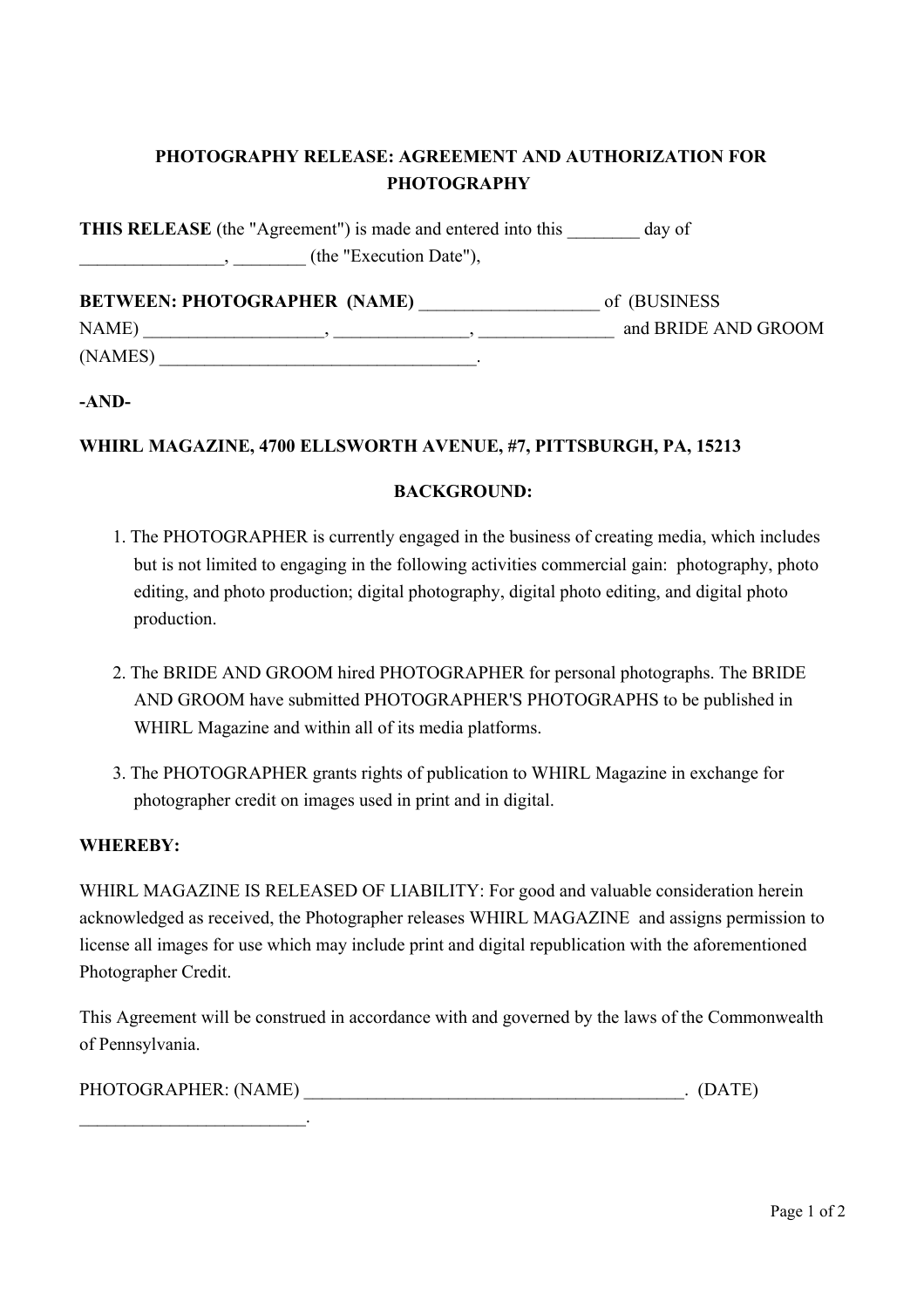## **PHOTOGRAPHY RELEASE: AGREEMENT AND AUTHORIZATION FOR PHOTOGRAPHY**

**THIS RELEASE** (the "Agreement") is made and entered into this day of \_\_\_\_\_\_\_\_\_\_\_\_\_\_\_\_, \_\_\_\_\_\_\_\_ (the "Execution Date"),

**BETWEEN: PHOTOGRAPHER (NAME)** \_\_\_\_\_\_\_\_\_\_\_\_\_\_\_\_\_\_\_\_ of (BUSINESS NAME)  $\qquad \qquad , \qquad \qquad , \qquad \qquad , \qquad \qquad , \qquad \qquad \qquad \qquad \qquad \text{and BRIDE AND GROM}$  $(NAMES)$ 

**-AND-**

## **WHIRL MAGAZINE, 4700 ELLSWORTH AVENUE, #7, PITTSBURGH, PA, 15213**

## **BACKGROUND:**

- 1. The PHOTOGRAPHER is currently engaged in the business of creating media, which includes but is not limited to engaging in the following activities commercial gain: photography, photo editing, and photo production; digital photography, digital photo editing, and digital photo production.
- 2. The BRIDE AND GROOM hired PHOTOGRAPHER for personal photographs. The BRIDE AND GROOM have submitted PHOTOGRAPHER'S PHOTOGRAPHS to be published in WHIRL Magazine and within all of its media platforms.
- 3. The PHOTOGRAPHER grants rights of publication to WHIRL Magazine in exchange for photographer credit on images used in print and in digital.

## **WHEREBY:**

 $\mathcal{L}_\text{max}$  and  $\mathcal{L}_\text{max}$  and  $\mathcal{L}_\text{max}$ 

WHIRL MAGAZINE IS RELEASED OF LIABILITY: For good and valuable consideration herein acknowledged as received, the Photographer releases WHIRL MAGAZINE and assigns permission to license all images for use which may include print and digital republication with the aforementioned Photographer Credit.

This Agreement will be construed in accordance with and governed by the laws of the Commonwealth of Pennsylvania.

| PHOTOGRAPHER: (NAME) |  |  |  |
|----------------------|--|--|--|
|----------------------|--|--|--|